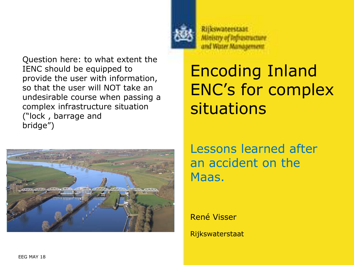

Rijkwaterstaat **Missiony of Infrastructure** and Water Manager

Question here: to what extent the IENC should be equipped to provide the user with information, so that the user will NOT take an undesirable course when passing a complex infrastructure situation ("lock , barrage and bridge")



Encoding Inland ENC's for complex situations

Lessons learned after an accident on the Maas.

René Visser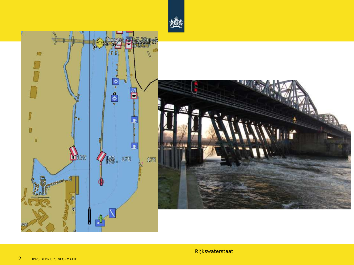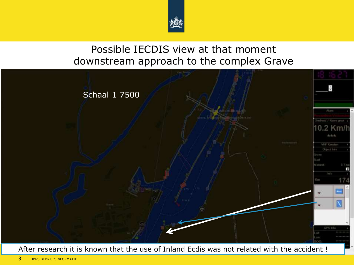

#### Possible IECDIS view at that moment downstream approach to the complex Grave



After research it is known that the use of Inland Ecdis was not related with the accident !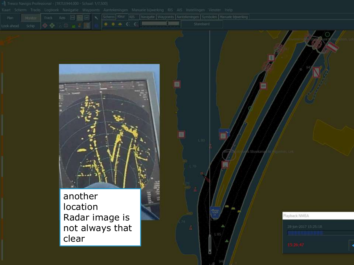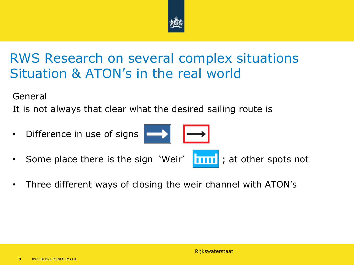

# RWS Research on several complex situations Situation & ATON's in the real world

General

It is not always that clear what the desired sailing route is

- Difference in use of signs
- Some place there is the sign 'Weir'  $\left\lceil \frac{1}{\ln n} \right\rceil$ ; at other spots not
- Three different ways of closing the weir channel with ATON's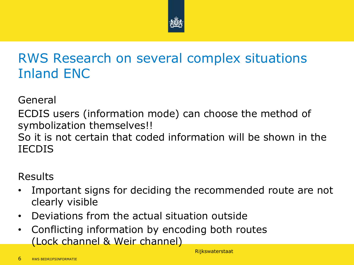

# RWS Research on several complex situations Inland ENC

General

ECDIS users (information mode) can choose the method of symbolization themselves!!

So it is not certain that coded information will be shown in the IECDIS

Results

- Important signs for deciding the recommended route are not clearly visible
- Deviations from the actual situation outside
- Conflicting information by encoding both routes (Lock channel & Weir channel)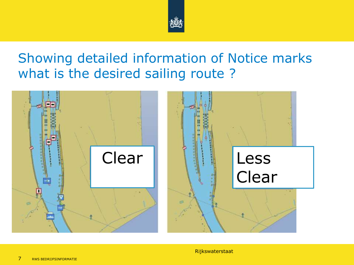

# Showing detailed information of Notice marks what is the desired sailing route?

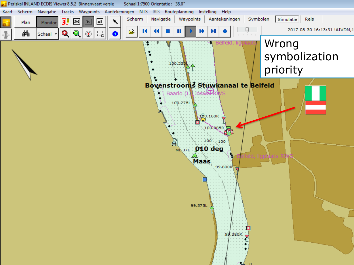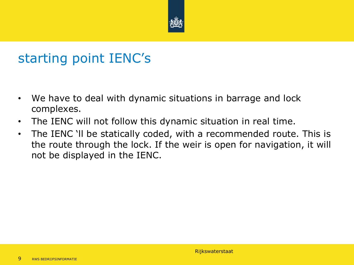

### starting point IENC's

- We have to deal with dynamic situations in barrage and lock complexes.
- The IENC will not follow this dynamic situation in real time.
- The IENC 'll be statically coded, with a recommended route. This is the route through the lock. If the weir is open for navigation, it will not be displayed in the IENC.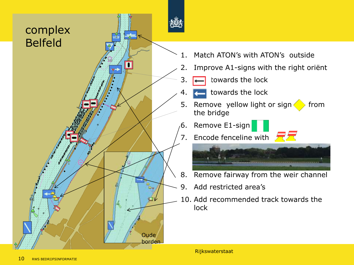

- 1. Match ATON's with ATON's outside
- 2. Improve A1-signs with the right oriënt
- 3.  $\leftarrow$  towards the lock
- 4. **The lock** towards the lock
- 5. Remove yellow light or sign  $\leftrightarrow$  from the bridge
- 6. Remove E1-sign

7. Encode fenceline with  $\sqrt{2\pi}$ 

- 
- 8. Remove fairway from the weir channel
- 9. Add restricted area's
- 10. Add recommended track towards the lock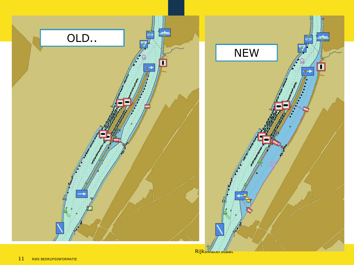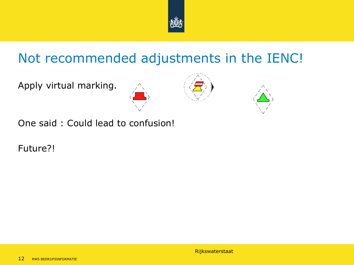

## Not recommended adjustments in the IENC!

Apply virtual marking.





One said : Could lead to confusion!

Future?!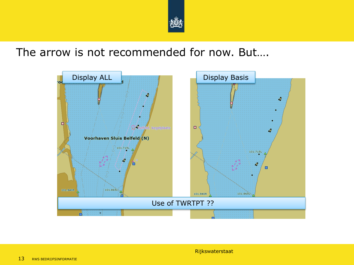

#### The arrow is not recommended for now. But….

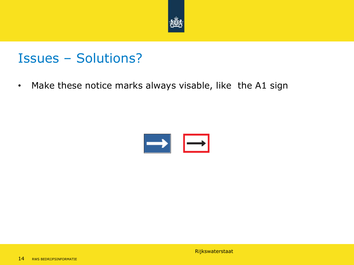

#### Issues – Solutions?

• Make these notice marks always visable, like the A1 sign

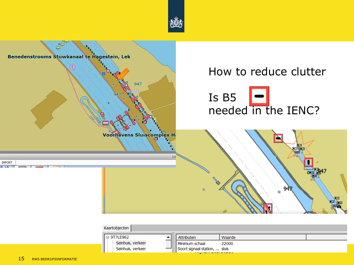



| Kaartobjecten                  |                               |        |  |
|--------------------------------|-------------------------------|--------|--|
| ⊟ 9T7LE962                     | Attributen                    | Waarde |  |
| Seinhuis, verkeer              | Minimum schaal                | 22000  |  |
| Seinhuis, verkeer              | Soort signaal station,  sluis |        |  |
| <b><i>INTRONALCEPTOMAL</i></b> |                               |        |  |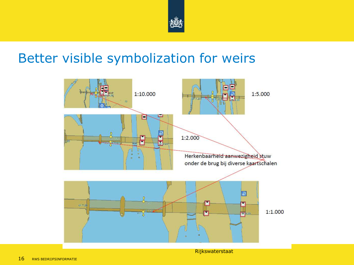

#### Better visible symbolization for weirs

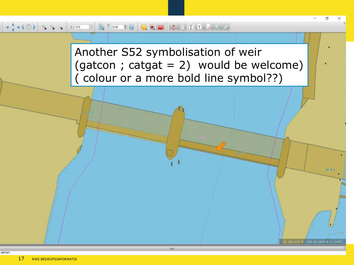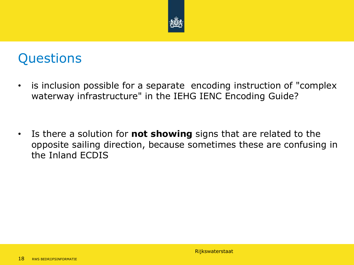

## **Questions**

is inclusion possible for a separate encoding instruction of "complex waterway infrastructure" in the IEHG IENC Encoding Guide?

• Is there a solution for **not showing** signs that are related to the opposite sailing direction, because sometimes these are confusing in the Inland ECDIS